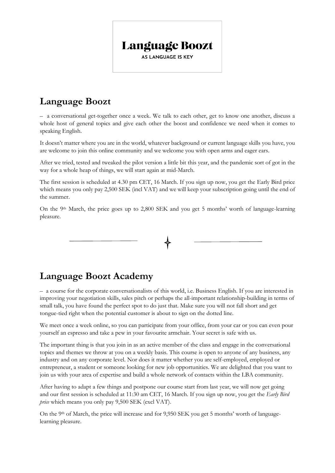

## **Language Boozt**

– a conversational get-together once a week. We talk to each other, get to know one another, discuss a whole host of general topics and give each other the boost and confidence we need when it comes to speaking English.

It doesn't matter where you are in the world, whatever background or current language skills you have, you are welcome to join this online community and we welcome you with open arms and eager ears.

After we tried, tested and tweaked the pilot version a little bit this year, and the pandemic sort of got in the way for a whole heap of things, we will start again at mid-March.

The first session is scheduled at 4.30 pm CET, 16 March. If you sign up now, you get the Early Bird price which means you only pay 2,500 SEK (incl VAT) and we will keep your subscription going until the end of the summer.

On the 9th March, the price goes up to 2,800 SEK and you get 5 months' worth of language-learning pleasure.

## **Language Boozt Academy**

– a course for the corporate conversationalists of this world, i.e. Business English. If you are interested in improving your negotiation skills, sales pitch or perhaps the all-important relationship-building in terms of small talk, you have found the perfect spot to do just that. Make sure you will not fall short and get tongue-tied right when the potential customer is about to sign on the dotted line.

We meet once a week online, so you can participate from your office, from your car or you can even pour yourself an espresso and take a pew in your favourite armchair. Your secret is safe with us.

The important thing is that you join in as an active member of the class and engage in the conversational topics and themes we throw at you on a weekly basis. This course is open to anyone of any business, any industry and on any corporate level. Nor does it matter whether you are self-employed, employed or entrepreneur, a student or someone looking for new job opportunities. We are delighted that you want to join us with your area of expertise and build a whole network of contacts within the LBA community.

After having to adapt a few things and postpone our course start from last year, we will now get going and our first session is scheduled at 11:30 am CET, 16 March. If you sign up now, you get the *Early Bird price* which means you only pay 9,500 SEK (excl VAT).

On the 9th of March, the price will increase and for 9,950 SEK you get 5 months' worth of languagelearning pleasure.